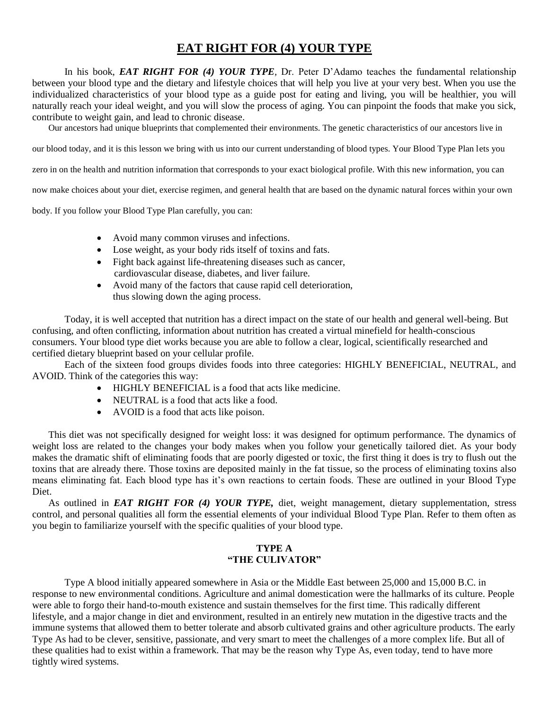## **EAT RIGHT FOR (4) YOUR TYPE**

In his book, *EAT RIGHT FOR (4) YOUR TYPE,* Dr. Peter D'Adamo teaches the fundamental relationship between your blood type and the dietary and lifestyle choices that will help you live at your very best. When you use the individualized characteristics of your blood type as a guide post for eating and living, you will be healthier, you will naturally reach your ideal weight, and you will slow the process of aging. You can pinpoint the foods that make you sick, contribute to weight gain, and lead to chronic disease.

Our ancestors had unique blueprints that complemented their environments. The genetic characteristics of our ancestors live in

our blood today, and it is this lesson we bring with us into our current understanding of blood types. Your Blood Type Plan lets you

zero in on the health and nutrition information that corresponds to your exact biological profile. With this new information, you can

now make choices about your diet, exercise regimen, and general health that are based on the dynamic natural forces within your own

body. If you follow your Blood Type Plan carefully, you can:

- Avoid many common viruses and infections.
- Lose weight, as your body rids itself of toxins and fats.
- Fight back against life-threatening diseases such as cancer, cardiovascular disease, diabetes, and liver failure.
- Avoid many of the factors that cause rapid cell deterioration, thus slowing down the aging process.

Today, it is well accepted that nutrition has a direct impact on the state of our health and general well-being. But confusing, and often conflicting, information about nutrition has created a virtual minefield for health-conscious consumers. Your blood type diet works because you are able to follow a clear, logical, scientifically researched and certified dietary blueprint based on your cellular profile.

Each of the sixteen food groups divides foods into three categories: HIGHLY BENEFICIAL, NEUTRAL, and AVOID. Think of the categories this way:

- HIGHLY BENEFICIAL is a food that acts like medicine.
- NEUTRAL is a food that acts like a food.
- AVOID is a food that acts like poison.

This diet was not specifically designed for weight loss: it was designed for optimum performance. The dynamics of weight loss are related to the changes your body makes when you follow your genetically tailored diet. As your body makes the dramatic shift of eliminating foods that are poorly digested or toxic, the first thing it does is try to flush out the toxins that are already there. Those toxins are deposited mainly in the fat tissue, so the process of eliminating toxins also means eliminating fat. Each blood type has it's own reactions to certain foods. These are outlined in your Blood Type Diet.

As outlined in *EAT RIGHT FOR (4) YOUR TYPE,* diet, weight management, dietary supplementation, stress control, and personal qualities all form the essential elements of your individual Blood Type Plan. Refer to them often as you begin to familiarize yourself with the specific qualities of your blood type.

#### **TYPE A "THE CULIVATOR"**

Type A blood initially appeared somewhere in Asia or the Middle East between 25,000 and 15,000 B.C. in response to new environmental conditions. Agriculture and animal domestication were the hallmarks of its culture. People were able to forgo their hand-to-mouth existence and sustain themselves for the first time. This radically different lifestyle, and a major change in diet and environment, resulted in an entirely new mutation in the digestive tracts and the immune systems that allowed them to better tolerate and absorb cultivated grains and other agriculture products. The early Type As had to be clever, sensitive, passionate, and very smart to meet the challenges of a more complex life. But all of these qualities had to exist within a framework. That may be the reason why Type As, even today, tend to have more tightly wired systems.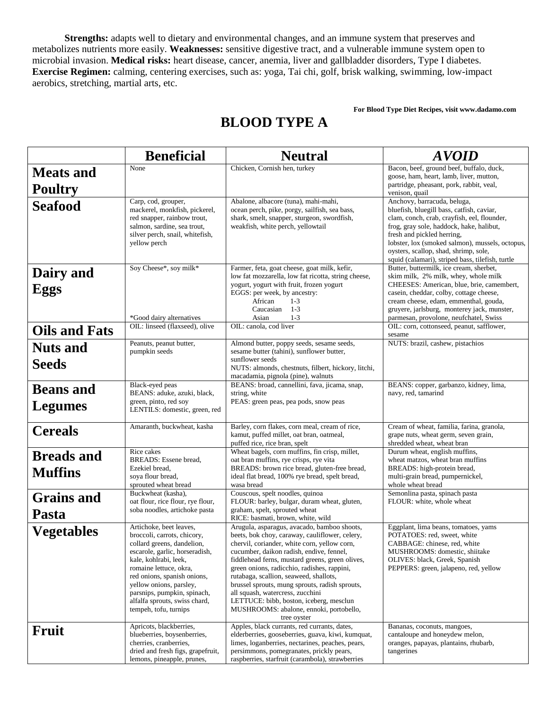**Strengths:** adapts well to dietary and environmental changes, and an immune system that preserves and metabolizes nutrients more easily. **Weaknesses:** sensitive digestive tract, and a vulnerable immune system open to microbial invasion. **Medical risks:** heart disease, cancer, anemia, liver and gallbladder disorders, Type I diabetes. **Exercise Regimen:** calming, centering exercises, such as: yoga, Tai chi, golf, brisk walking, swimming, low-impact aerobics, stretching, martial arts, etc.

#### **For Blood Type Diet Recipes, visit www.dadamo.com**

|                                     | <b>Beneficial</b>                                                                                                                                                                                                                                                                                                            | <b>Neutral</b>                                                                                                                                                                                                                                                                                                                                                                                                                                                                                                                   | <b>AVOID</b>                                                                                                                                                                                                                                                                                                                                      |
|-------------------------------------|------------------------------------------------------------------------------------------------------------------------------------------------------------------------------------------------------------------------------------------------------------------------------------------------------------------------------|----------------------------------------------------------------------------------------------------------------------------------------------------------------------------------------------------------------------------------------------------------------------------------------------------------------------------------------------------------------------------------------------------------------------------------------------------------------------------------------------------------------------------------|---------------------------------------------------------------------------------------------------------------------------------------------------------------------------------------------------------------------------------------------------------------------------------------------------------------------------------------------------|
| <b>Meats and</b><br><b>Poultry</b>  | None                                                                                                                                                                                                                                                                                                                         | Chicken, Cornish hen, turkey                                                                                                                                                                                                                                                                                                                                                                                                                                                                                                     | Bacon, beef, ground beef, buffalo, duck,<br>goose, ham, heart, lamb, liver, mutton,<br>partridge, pheasant, pork, rabbit, veal,<br>venison, quail                                                                                                                                                                                                 |
| <b>Seafood</b>                      | Carp, cod, grouper,<br>mackerel, monkfish, pickerel,<br>red snapper, rainbow trout,<br>salmon, sardine, sea trout,<br>silver perch, snail, whitefish,<br>yellow perch                                                                                                                                                        | Abalone, albacore (tuna), mahi-mahi,<br>ocean perch, pike, porgy, sailfish, sea bass,<br>shark, smelt, snapper, sturgeon, swordfish,<br>weakfish, white perch, yellowtail                                                                                                                                                                                                                                                                                                                                                        | Anchovy, barracuda, beluga,<br>bluefish, bluegill bass, catfish, caviar,<br>clam, conch, crab, crayfish, eel, flounder,<br>frog, gray sole, haddock, hake, halibut,<br>fresh and pickled herring,<br>lobster, lox (smoked salmon), mussels, octopus,<br>oysters, scallop, shad, shrimp, sole,<br>squid (calamari), striped bass, tilefish, turtle |
| Dairy and<br><b>Eggs</b>            | Soy Cheese*, soy milk*<br>*Good dairy alternatives                                                                                                                                                                                                                                                                           | Farmer, feta, goat cheese, goat milk, kefir,<br>low fat mozzarella, low fat ricotta, string cheese,<br>yogurt, yogurt with fruit, frozen yogurt<br>EGGS: per week, by ancestry:<br>African<br>$1-3$<br>Caucasian<br>$1-3$<br>Asian<br>$1 - 3$                                                                                                                                                                                                                                                                                    | Butter, buttermilk, ice cream, sherbet,<br>skim milk, 2% milk, whey, whole milk<br>CHEESES: American, blue, brie, camembert,<br>casein, cheddar, colby, cottage cheese,<br>cream cheese, edam, emmenthal, gouda,<br>gruyere, jarlsburg, monterey jack, munster,<br>parmesan, provolone, neufchatel, Swiss                                         |
| <b>Oils and Fats</b>                | OIL: linseed (flaxseed), olive                                                                                                                                                                                                                                                                                               | OIL: canola, cod liver                                                                                                                                                                                                                                                                                                                                                                                                                                                                                                           | OIL: corn, cottonseed, peanut, safflower,<br>sesame                                                                                                                                                                                                                                                                                               |
| <b>Nuts and</b><br>Seeds            | Peanuts, peanut butter,<br>pumpkin seeds                                                                                                                                                                                                                                                                                     | Almond butter, poppy seeds, sesame seeds,<br>sesame butter (tahini), sunflower butter,<br>sunflower seeds<br>NUTS: almonds, chestnuts, filbert, hickory, litchi,<br>macadamia, pignola (pine), walnuts                                                                                                                                                                                                                                                                                                                           | NUTS: brazil, cashew, pistachios                                                                                                                                                                                                                                                                                                                  |
| <b>Beans</b> and<br><b>Legumes</b>  | Black-eyed peas<br>BEANS: aduke, azuki, black,<br>green, pinto, red soy<br>LENTILS: domestic, green, red                                                                                                                                                                                                                     | BEANS: broad, cannellini, fava, jicama, snap,<br>string, white<br>PEAS: green peas, pea pods, snow peas                                                                                                                                                                                                                                                                                                                                                                                                                          | BEANS: copper, garbanzo, kidney, lima,<br>navy, red, tamarind                                                                                                                                                                                                                                                                                     |
| <b>Cereals</b>                      | Amaranth, buckwheat, kasha                                                                                                                                                                                                                                                                                                   | Barley, corn flakes, corn meal, cream of rice,<br>kamut, puffed millet, oat bran, oatmeal,<br>puffed rice, rice bran, spelt                                                                                                                                                                                                                                                                                                                                                                                                      | Cream of wheat, familia, farina, granola,<br>grape nuts, wheat germ, seven grain,<br>shredded wheat, wheat bran                                                                                                                                                                                                                                   |
| <b>Breads and</b><br><b>Muffins</b> | Rice cakes<br>BREADS: Essene bread,<br>Ezekiel bread,<br>soya flour bread,<br>sprouted wheat bread                                                                                                                                                                                                                           | Wheat bagels, corn muffins, fin crisp, millet,<br>oat bran muffins, rye crisps, rye vita<br>BREADS: brown rice bread, gluten-free bread,<br>ideal flat bread, 100% rye bread, spelt bread,<br>wasa bread                                                                                                                                                                                                                                                                                                                         | Durum wheat, english muffins,<br>wheat matzos, wheat bran muffins<br>BREADS: high-protein bread,<br>multi-grain bread, pumpernickel,<br>whole wheat bread                                                                                                                                                                                         |
| <b>Grains and</b><br>Pasta          | Buckwheat (kasha),<br>oat flour, rice flour, rye flour,<br>soba noodles, artichoke pasta                                                                                                                                                                                                                                     | Couscous, spelt noodles, quinoa<br>FLOUR: barley, bulgar, duram wheat, gluten,<br>graham, spelt, sprouted wheat<br>RICE: basmati, brown, white, wild                                                                                                                                                                                                                                                                                                                                                                             | Semonlina pasta, spinach pasta<br>FLOUR: white, whole wheat                                                                                                                                                                                                                                                                                       |
| <b>Vegetables</b>                   | Artichoke, beet leaves,<br>broccoli, carrots, chicory,<br>collard greens, dandelion,<br>escarole, garlic, horseradish,<br>kale, kohlrabi, leek,<br>romaine lettuce, okra,<br>red onions, spanish onions,<br>yellow onions, parsley,<br>parsnips, pumpkin, spinach,<br>alfalfa sprouts, swiss chard,<br>tempeh, tofu, turnips | Arugula, asparagus, avacado, bamboo shoots,<br>beets, bok choy, caraway, cauliflower, celery,<br>chervil, coriander, white corn, yellow corn,<br>cucumber, daikon radish, endive, fennel,<br>fiddlehead ferns, mustard greens, green olives,<br>green onions, radicchio, radishes, rappini,<br>rutabaga, scallion, seaweed, shallots,<br>brussel sprouts, mung sprouts, radish sprouts,<br>all squash, watercress, zucchini<br>LETTUCE: bibb, boston, iceberg, mesclun<br>MUSHROOMS: abalone, ennoki, portobello,<br>tree oyster | Eggplant, lima beans, tomatoes, yams<br>POTATOES: red, sweet, white<br>CABBAGE: chinese, red, white<br>MUSHROOMS: domestic, shiitake<br>OLIVES: black, Greek, Spanish<br>PEPPERS: green, jalapeno, red, yellow                                                                                                                                    |
| Fruit                               | Apricots, blackberries,<br>blueberries, boysenberries,<br>cherries, cranberries,<br>dried and fresh figs, grapefruit,<br>lemons, pineapple, prunes,                                                                                                                                                                          | Apples, black currants, red currants, dates,<br>elderberries, gooseberries, guava, kiwi, kumquat,<br>limes, loganberries, nectarines, peaches, pears,<br>persimmons, pomegranates, prickly pears,<br>raspberries, starfruit (carambola), strawberries                                                                                                                                                                                                                                                                            | Bananas, coconuts, mangoes,<br>cantaloupe and honeydew melon,<br>oranges, papayas, plantains, rhubarb,<br>tangerines                                                                                                                                                                                                                              |

## **BLOOD TYPE A**